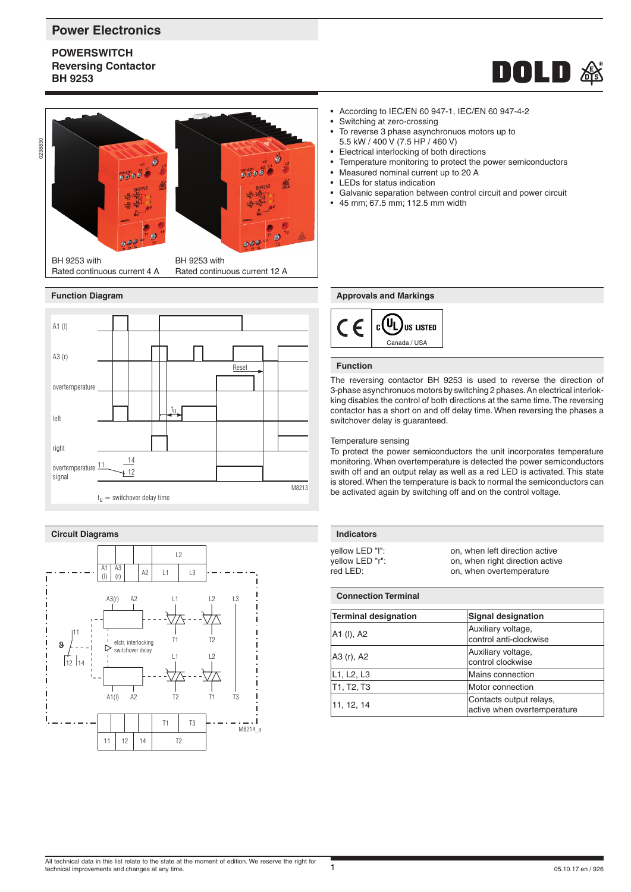# **Power Electronics**

**POWERSWITCH Reversing Contactor BH 9253**







Rated continuous current 4 A

BH 9253 with Rated continuous current 12 A

0238830



### **Circuit Diagrams Indicators**



- According to IEC/EN 60 947-1, IEC/EN 60 947-4-2
- Switching at zero-crossing
- To reverse 3 phase asynchronuos motors up to 5.5 kW / 400 V (7.5 HP / 460 V)
- Electrical interlocking of both directions
- Temperature monitoring to protect the power semiconductors
- Measured nominal current up to 20 A
- LEDs for status indication
- Galvanic separation between control circuit and power circuit
- 45 mm; 67.5 mm; 112.5 mm width

**Function Diagram Approvals and Markings** 



## **Function**

The reversing contactor BH 9253 is used to reverse the direction of 3-phase asynchronuos motors by switching 2 phases. An electrical interlokking disables the control of both directions at the same time. The reversing contactor has a short on and off delay time. When reversing the phases a switchover delay is guaranteed.

#### Temperature sensing

To protect the power semiconductors the unit incorporates temperature monitoring. When overtemperature is detected the power semiconductors swith off and an output relay as well as a red LED is activated. This state is stored. When the temperature is back to normal the semiconductors can be activated again by switching off and on the control voltage.

| -------                |                |     |  | ------------                       |                                                                   |
|------------------------|----------------|-----|--|------------------------------------|-------------------------------------------------------------------|
|                        |                |     |  | vellow LED "I":<br>vellow LED "r": | on, when left direction active<br>on, when right direction active |
| A1   A3<br>$(1)$ $(r)$ | A <sub>2</sub> | . . |  | red LED:                           | on, when overtemperature                                          |

## **Connection Terminal**

| <b>Terminal designation</b> | <b>Signal designation</b>                              |  |  |
|-----------------------------|--------------------------------------------------------|--|--|
| A1 (I), A2                  | Auxiliary voltage,<br>control anti-clockwise           |  |  |
| A3 (r), A2                  | Auxiliary voltage,<br>control clockwise                |  |  |
| L1, L2, L3                  | Mains connection                                       |  |  |
| T1, T2, T3                  | Motor connection                                       |  |  |
| 11, 12, 14                  | Contacts output relays,<br>active when overtemperature |  |  |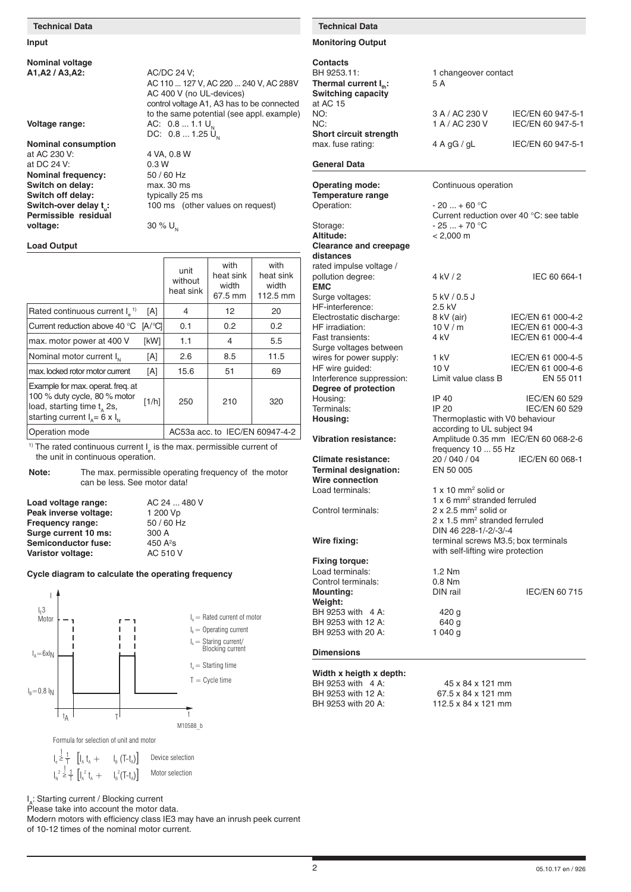#### **Input**

**Nominal voltage A1,A2 / A3,A2:** AC/DC 24 V;

**Nominal consumption** at AC 230 V: 4 VA, 0.8 W<br>at DC 24 V: 0.3 W at DC  $24$  V: **Nominal frequency:** 50 / 60 Hz<br> **Switch on delay:** max. 30 ms **Switch on delay:** max. 30 ms<br> **Switch off delay:** typically 25 ms **Switch off delay:**<br>Switch-over delay t

**Permissible residual** 

 control voltage A1, A3 has to be connected to the same potential (see appl. example)<br>Voltage range:  $AC: 0.8 ... 1.1 U_{N}$ **AC:** 0.8 ... 1.1 U<sub>N</sub> DC:  $0.8 ... 1.25 \, \rm \ddot{\rm U}_N$ **Switch-over delay tu:** 100 ms (other values on request) **voltage:**  $30\%$  U<sub>N</sub>

AC 400 V (no UL-devices)

AC 110 ... 127 V, AC 220 ... 240 V, AC 288V

#### **Load Output**

|                                                                                                                                             |                     | unit<br>without<br>heat sink   | with<br>heat sink<br>width<br>67.5 mm | with<br>heat sink<br>width<br>112.5 mm |  |
|---------------------------------------------------------------------------------------------------------------------------------------------|---------------------|--------------------------------|---------------------------------------|----------------------------------------|--|
| Rated continuous current $I_a$ <sup>1)</sup>                                                                                                | [A]                 | 4                              | 12                                    | 20                                     |  |
| Current reduction above 40 °C                                                                                                               | $[A/\textdegree C]$ | 0.1                            | 0.2                                   | 0.2                                    |  |
| max. motor power at 400 V                                                                                                                   | [kW]                | 1.1                            | 4                                     | 5.5                                    |  |
| Nominal motor current I <sub>N</sub>                                                                                                        | [A]                 | 2.6                            | 8.5                                   | 11.5                                   |  |
| max. locked rotor motor current                                                                                                             | [A]                 | 15.6                           | 51                                    | 69                                     |  |
| Example for max. operat. freg. at<br>100 % duty cycle, 80 % motor<br>load, starting time $t_a$ 2s,<br>starting current $I_a = 6 \times I_b$ | [1/h]               | 250                            | 210                                   | 320                                    |  |
| Operation mode                                                                                                                              |                     | AC53a acc. to IEC/EN 60947-4-2 |                                       |                                        |  |

<sup>1)</sup> The rated continuous current  $I_{\alpha}$  is the max. permissible current of the unit in continuous operation.

**Note:** The max. permissible operating frequency of the motor can be less. See motor data!

| Load voltage range:        | AC 24  480 V |
|----------------------------|--------------|
| Peak inverse voltage:      | 1 200 Vp     |
| <b>Frequency range:</b>    | 50 / 60 Hz   |
| Surge current 10 ms:       | 300 A        |
| <b>Semiconductor fuse:</b> | 450 $A^2s$   |
| Varistor voltage:          | AC 510 V     |
|                            |              |

### **Cycle diagram to calculate the operating frequency**



Device selection Motor selection  $I_e \stackrel{!}{\geq} \frac{1}{T}$   $\left[ I_A t_A +$  $I_N^2 \ge \frac{1}{T}$   $\left[ I_A^2 t_A +$  $I_B(T-t_A)$  $I_B^2(T-t_A)$ 

I A: Starting current / Blocking current

Please take into account the motor data. Modern motors with efficiency class IE3 may have an inrush peek current of 10-12 times of the nominal motor current.

# **Technical Data Technical Data**

# **Monitoring Output**

| <b>Contacts</b>                                        |                                                        |                      |  |  |  |
|--------------------------------------------------------|--------------------------------------------------------|----------------------|--|--|--|
| BH 9253.11:                                            | 1 changeover contact                                   |                      |  |  |  |
| Thermal current $I_{\scriptscriptstyle \text{th}}$ :   | 5 A                                                    |                      |  |  |  |
| <b>Switching capacity</b>                              |                                                        |                      |  |  |  |
| at AC 15                                               |                                                        |                      |  |  |  |
| NO:                                                    | 3 A / AC 230 V                                         | IEC/EN 60 947-5-1    |  |  |  |
| NC:                                                    | 1 A / AC 230 V                                         | IEC/EN 60 947-5-1    |  |  |  |
| Short circuit strength                                 |                                                        |                      |  |  |  |
| max. fuse rating:                                      | 4 A gG / gL                                            | IEC/EN 60 947-5-1    |  |  |  |
| General Data                                           |                                                        |                      |  |  |  |
|                                                        |                                                        |                      |  |  |  |
| <b>Operating mode:</b>                                 | Continuous operation                                   |                      |  |  |  |
| <b>Temperature range</b>                               |                                                        |                      |  |  |  |
| Operation:                                             | $-20+60 °C$<br>Current reduction over 40 °C; see table |                      |  |  |  |
| Storage:                                               | - 25  + 70 °C                                          |                      |  |  |  |
| Altitude:                                              | $< 2,000 \text{ m}$                                    |                      |  |  |  |
| <b>Clearance and creepage</b>                          |                                                        |                      |  |  |  |
| distances                                              |                                                        |                      |  |  |  |
| rated impulse voltage /                                |                                                        |                      |  |  |  |
| pollution degree:<br><b>EMC</b>                        | 4 kV / 2                                               | IEC 60 664-1         |  |  |  |
| Surge voltages:                                        | 5 kV / 0.5 J                                           |                      |  |  |  |
| HF-interference:                                       | 2.5 kV                                                 |                      |  |  |  |
| Electrostatic discharge:                               | 8 kV (air)                                             | IEC/EN 61 000-4-2    |  |  |  |
| HF irradiation:                                        | 10V/m                                                  | IEC/EN 61 000-4-3    |  |  |  |
| Fast transients:                                       | 4 kV                                                   | IEC/EN 61 000-4-4    |  |  |  |
| Surge voltages between                                 |                                                        |                      |  |  |  |
| wires for power supply:                                | 1 kV                                                   | IEC/EN 61 000-4-5    |  |  |  |
| HF wire guided:                                        | 10V                                                    | IEC/EN 61 000-4-6    |  |  |  |
| Interference suppression:                              | Limit value class B                                    | EN 55 011            |  |  |  |
| Degree of protection                                   |                                                        |                      |  |  |  |
| Housing:                                               | IP 40                                                  | IEC/EN 60 529        |  |  |  |
| Terminals:                                             | IP 20                                                  | IEC/EN 60 529        |  |  |  |
| Housing:                                               | Thermoplastic with V0 behaviour                        |                      |  |  |  |
|                                                        | according to UL subject 94                             |                      |  |  |  |
| <b>Vibration resistance:</b>                           | Amplitude 0.35 mm IEC/EN 60 068-2-6                    |                      |  |  |  |
|                                                        | frequency 10  55 Hz                                    |                      |  |  |  |
| <b>Climate resistance:</b>                             | 20 / 040 / 04                                          | IEC/EN 60 068-1      |  |  |  |
| <b>Terminal designation:</b><br><b>Wire connection</b> | EN 50 005                                              |                      |  |  |  |
| Load terminals:                                        | $1 \times 10$ mm <sup>2</sup> solid or                 |                      |  |  |  |
|                                                        | 1 x 6 mm <sup>2</sup> stranded ferruled                |                      |  |  |  |
| Control terminals:                                     | $2 \times 2.5$ mm <sup>2</sup> solid or                |                      |  |  |  |
|                                                        | 2 x 1.5 mm <sup>2</sup> stranded ferruled              |                      |  |  |  |
|                                                        | DIN 46 228-1/-2/-3/-4                                  |                      |  |  |  |
| Wire fixing:                                           | terminal screws M3.5; box terminals                    |                      |  |  |  |
|                                                        | with self-lifting wire protection                      |                      |  |  |  |
| <b>Fixing torque:</b>                                  |                                                        |                      |  |  |  |
| Load terminals:                                        | 1.2 Nm                                                 |                      |  |  |  |
| Control terminals:                                     | $0.8$ Nm                                               |                      |  |  |  |
| <b>Mounting:</b>                                       | DIN rail                                               | <b>IEC/EN 60 715</b> |  |  |  |
| Weight:                                                |                                                        |                      |  |  |  |
| BH 9253 with 4 A:                                      | 420 g                                                  |                      |  |  |  |
| BH 9253 with 12 A:                                     | 640 g                                                  |                      |  |  |  |
| BH 9253 with 20 A:                                     | 1040q                                                  |                      |  |  |  |
| <b>Dimensions</b>                                      |                                                        |                      |  |  |  |
|                                                        |                                                        |                      |  |  |  |
| Width x heigth x depth:                                |                                                        |                      |  |  |  |
| $D \sqcup \Omega$ $D \sqsubseteq Q$ with $A \wedge B$  | $15 \times 91 \times 101$ mm                           |                      |  |  |  |

BH 9253 with 4 A: 45 x 84 x 121 mm<br>BH 9253 with 12 A: 67.5 x 84 x 121 mm BH 9253 with 12 A: 67.5 x 84 x 121 mm<br>BH 9253 with 20 A: 112.5 x 84 x 121 mm 112.5 x 84 x 121 mm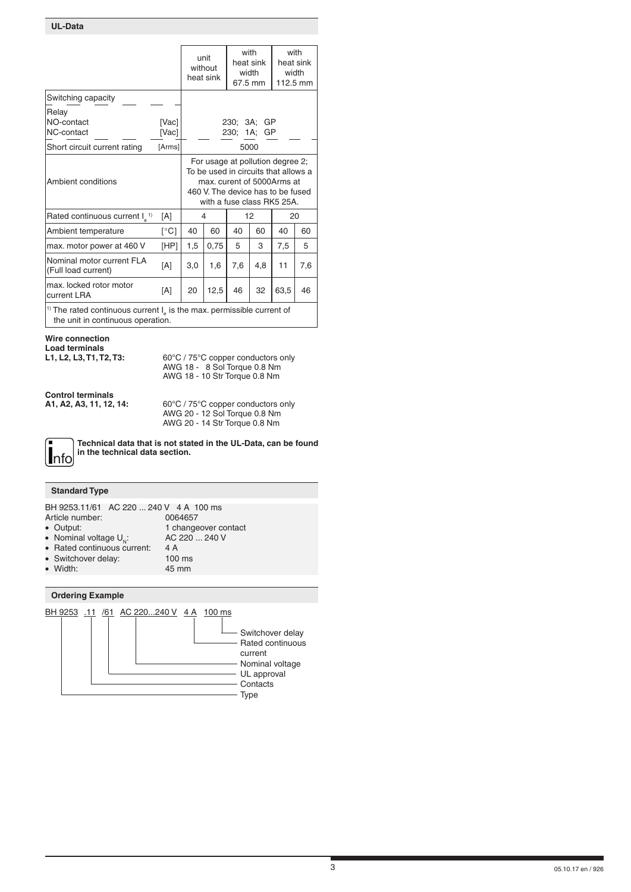### **UL-Data**

|                                                     |        |      | unit<br>without<br>heat sink     | 67.5 mm                                                                                                                                                                   | with<br>heat sink<br>width | with<br>heat sink<br>width<br>112.5 mm |     |  |
|-----------------------------------------------------|--------|------|----------------------------------|---------------------------------------------------------------------------------------------------------------------------------------------------------------------------|----------------------------|----------------------------------------|-----|--|
| Switching capacity                                  |        |      |                                  |                                                                                                                                                                           |                            |                                        |     |  |
| Relay<br>NO-contact<br>[Vac]<br>NC-contact<br>[Vac] |        |      | 230; 3A;<br>GP<br>230; 1A;<br>GP |                                                                                                                                                                           |                            |                                        |     |  |
| Short circuit current rating                        | [Arms] | 5000 |                                  |                                                                                                                                                                           |                            |                                        |     |  |
| Ambient conditions                                  |        |      |                                  | For usage at pollution degree 2;<br>To be used in circuits that allows a<br>max, curent of 5000Arms at<br>460 V. The device has to be fused<br>with a fuse class RK5 25A. |                            |                                        |     |  |
| Rated continuous current $I_n$ <sup>1)</sup>        | [A]    |      | 4                                |                                                                                                                                                                           | 12                         | 20                                     |     |  |
| Ambient temperature                                 | [°C]   | 40   | 60                               | 40                                                                                                                                                                        | 60                         | 40                                     | 60  |  |
| max. motor power at 460 V                           | [HP]   | 1,5  | 0,75                             | 5                                                                                                                                                                         | 3                          | 7,5                                    | 5   |  |
| Nominal motor current FLA<br>(Full load current)    | [A]    | 3,0  | 1,6                              | 7,6                                                                                                                                                                       | 4,8                        | 11                                     | 7,6 |  |
| max. locked rotor motor<br>current LRA              | [A]    | 20   | 12,5                             | 46                                                                                                                                                                        | 32                         | 63,5                                   | 46  |  |

<sup>1)</sup> The rated continuous current  $I_{\rho}$  is the max. permissible current of the unit in continuous operation.

# **Wire connection**

**Load terminals**

**L1, L2, L3, T1, T2, T3:** 60°C / 75°C copper conductors only AWG 18 - 8 Sol Torque 0.8 Nm AWG 18 - 10 Str Torque 0.8 Nm

**Control terminals**

**A1, A2, A3, 11, 12, 14:** 60°C / 75°C copper conductors only AWG 20 - 12 Sol Torque 0.8 Nm AWG 20 - 14 Str Torque 0.8 Nm



**Technical data that is not stated in the UL-Data, can be found in the technical data section.**

### **Standard Type**

BH 9253.11/61 AC 220 ... 240 V 4 A 100 ms

- 
- Article number: 0064657<br>
Output: 1 change
	- 1 changeover contact<br>AC 220 ... 240 V
	-
- Nominal voltage  $U_N$ : AC<br>• Rated continuous current: 4 A • Rated continuous current:
- 
- Switchover delay: 100 ms<br>• Width: 45 mm  $\bullet$  Width:
	-

**Ordering Example**